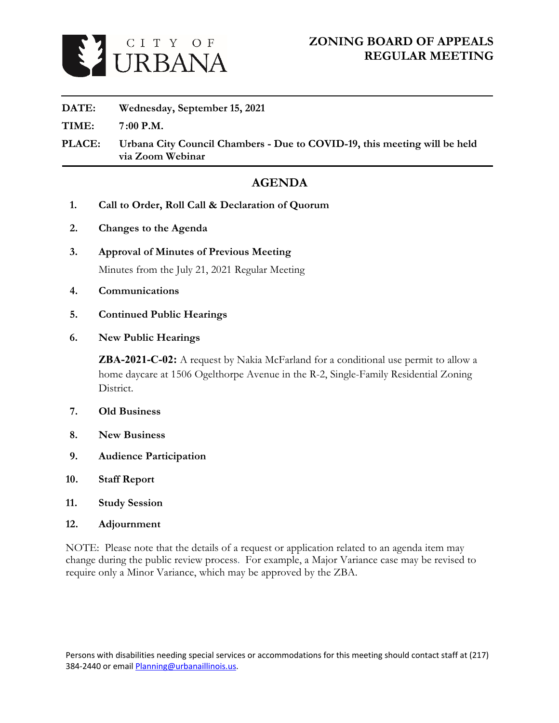

### **DATE: Wednesday, September 15, 2021**

**TIME: 7:00 P.M.**

**PLACE: Urbana City Council Chambers - Due to COVID-19, this meeting will be held via Zoom Webinar**

## **AGENDA**

- **1. Call to Order, Roll Call & Declaration of Quorum**
- **2. Changes to the Agenda**
- **3. Approval of Minutes of Previous Meeting** [Minutes from the July 21, 2021 Regular Meeting](https://www.urbanaillinois.us/sites/default/files/attachments/02%20-%20DRAFT%20Meeting%20Minutes%20-%2008-09-2018_0.pdf)
- **4. Communications**
- **5. Continued Public Hearings**
- **6. New Public Hearings**

**ZBA-2021-C-02:** A request by Nakia McFarland for a conditional use permit to allow a home daycare at 1506 Ogelthorpe Avenue in the R-2, Single-Family Residential Zoning District.

- **7. Old Business**
- **8. New Business**
- **9. Audience Participation**
- **10. Staff Report**
- **11. Study Session**
- **12. Adjournment**

NOTE: Please note that the details of a request or application related to an agenda item may change during the public review process. For example, a Major Variance case may be revised to require only a Minor Variance, which may be approved by the ZBA.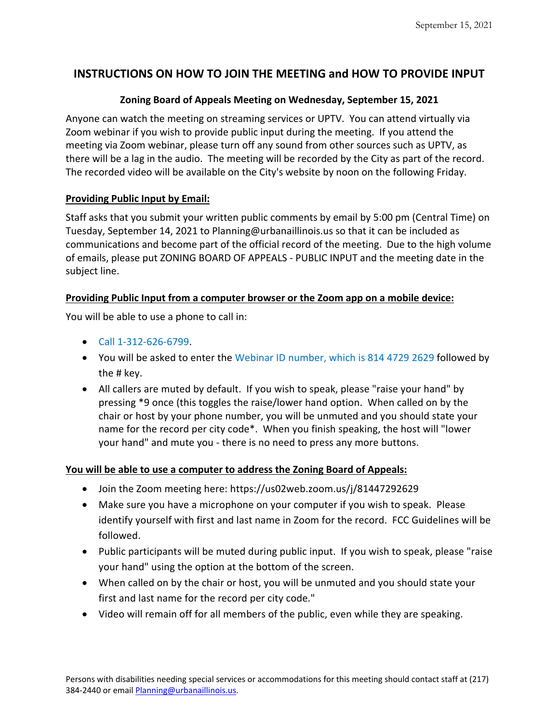### **INSTRUCTIONS ON HOW TO JOIN THE MEETING and HOW TO PROVIDE INPUT**

### **Zoning Board of Appeals Meeting on Wednesday, September 15, 2021**

Anyone can watch the meeting on streaming services or UPTV. You can attend virtually via Zoom webinar if you wish to provide public input during the meeting. If you attend the meeting via Zoom webinar, please turn off any sound from other sources such as UPTV, as there will be a lag in the audio. The meeting will be recorded by the City as part of the record. The recorded video will be available on the City's website by noon on the following Friday.

### **Providing Public Input by Email:**

Staff asks that you submit your written public comments by email by 5:00 pm (Central Time) on Tuesday, September 14, 2021 to Planning@urbanaillinois.us so that it can be included as communications and become part of the official record of the meeting. Due to the high volume of emails, please put ZONING BOARD OF APPEALS - PUBLIC INPUT and the meeting date in the subject line.

### **Providing Public Input from a computer browser or the Zoom app on a mobile device:**

You will be able to use a phone to call in:

- Call 1-312-626-6799.
- You will be asked to enter the Webinar ID number, which is 814 4729 2629 followed by the # key.
- All callers are muted by default. If you wish to speak, please "raise your hand" by pressing \*9 once (this toggles the raise/lower hand option. When called on by the chair or host by your phone number, you will be unmuted and you should state your name for the record per city code\*. When you finish speaking, the host will "lower your hand" and mute you - there is no need to press any more buttons.

### **You will be able to use a computer to address the Zoning Board of Appeals:**

- Join the Zoom meeting here: https://us02web.zoom.us/j/81447292629
- Make sure you have a microphone on your computer if you wish to speak. Please identify yourself with first and last name in Zoom for the record. FCC Guidelines will be followed.
- Public participants will be muted during public input. If you wish to speak, please "raise your hand" using the option at the bottom of the screen.
- When called on by the chair or host, you will be unmuted and you should state your first and last name for the record per city code."
- Video will remain off for all members of the public, even while they are speaking.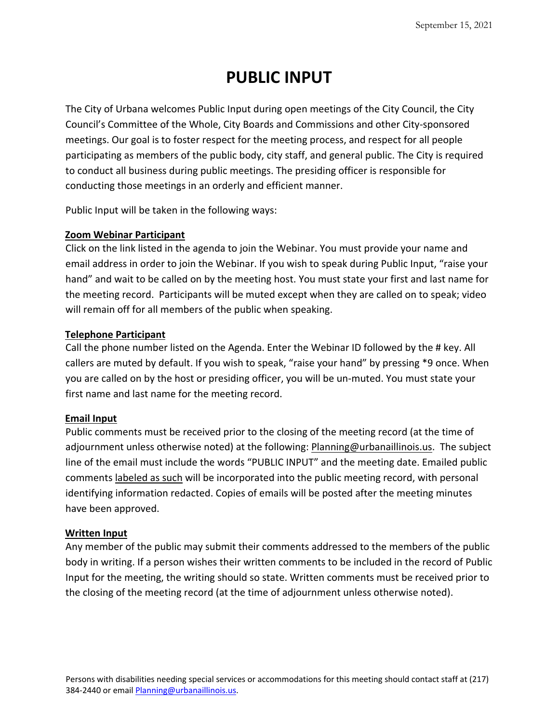# **PUBLIC INPUT**

The City of Urbana welcomes Public Input during open meetings of the City Council, the City Council's Committee of the Whole, City Boards and Commissions and other City-sponsored meetings. Our goal is to foster respect for the meeting process, and respect for all people participating as members of the public body, city staff, and general public. The City is required to conduct all business during public meetings. The presiding officer is responsible for conducting those meetings in an orderly and efficient manner.

Public Input will be taken in the following ways:

### **Zoom Webinar Participant**

Click on the link listed in the agenda to join the Webinar. You must provide your name and email address in order to join the Webinar. If you wish to speak during Public Input, "raise your hand" and wait to be called on by the meeting host. You must state your first and last name for the meeting record. Participants will be muted except when they are called on to speak; video will remain off for all members of the public when speaking.

### **Telephone Participant**

Call the phone number listed on the Agenda. Enter the Webinar ID followed by the # key. All callers are muted by default. If you wish to speak, "raise your hand" by pressing \*9 once. When you are called on by the host or presiding officer, you will be un-muted. You must state your first name and last name for the meeting record.

### **Email Input**

Public comments must be received prior to the closing of the meeting record (at the time of adjournment unless otherwise noted) at the following: Planning@urbanaillinois.us. The subject line of the email must include the words "PUBLIC INPUT" and the meeting date. Emailed public comments labeled as such will be incorporated into the public meeting record, with personal identifying information redacted. Copies of emails will be posted after the meeting minutes have been approved.

#### **Written Input**

Any member of the public may submit their comments addressed to the members of the public body in writing. If a person wishes their written comments to be included in the record of Public Input for the meeting, the writing should so state. Written comments must be received prior to the closing of the meeting record (at the time of adjournment unless otherwise noted).